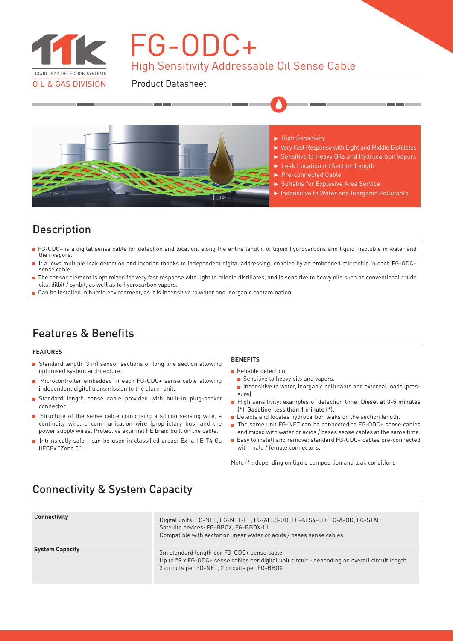

# High Sensitivity Addressable Oil Sense Cable FG-ODC+

Product Datasheet



- $\blacktriangleright$  High Sensitivity
- Very Fast Response with Light and Middle Distillates
- ▶ Sensitive to Heavy Oils and Hydrocarbon Vapors
- Leak Location on Section Length
- Pre-connected Cable
- Suitable for Explosive Area Service
- ▶ Insensitive to Water and Inorganic Pollutants

#### Description

- FG-ODC+ is a digital sense cable for detection and location, along the entire length, of liquid hydrocarbons and liquid insoluble in water and their vapors.
- It allows multiple leak detection and location thanks to independent digital addressing, enabled by an embedded microchip in each FG-ODC+ sense cable.
- The sensor element is optimized for very fast response with light to middle distillates, and is sensitive to heavy oils such as conventional crude oils, dilbit / synbit, as well as to hydrocarbon vapors.
- **Can be installed in humid environment, as it is insensitive to water and inorganic contamination.**

### Features & Benefits

#### **FEATURES**

- Standard length (3 m) sensor sections or long line section allowing optimised system architecture.
- Microcontroller embedded in each FG-ODC+ sense cable allowing independent digital transmission to the alarm unit.
- Standard length sense cable provided with built-in plug-socket connector.
- Structure of the sense cable comprising a silicon sensing wire, a continuity wire, a communication wire (proprietary bus) and the power supply wires. Protective external PE braid built on the cable.
- Intrinsically safe can be used in classified areas: Ex ia IIB T4 Ga (IECEx "Zone 0").

#### **BENEFITS**

- Reliable detection:
	- Sensitive to heavy oils and vapors.
- **n** Insensitive to water, inorganic pollutants and external loads (pressure).
- High sensitivity: examples of detection time: Diesel at 3-5 minutes (\*), Gasoline: less than 1 minute (\*).
- Detects and locates hydrocarbon leaks on the section length.
- The same unit FG-NET can be connected to FG-ODC+ sense cables and mixed with water or acids / bases sense cables at the same time.
- Easy to install and remove: standard FG-ODC+ cables pre-connected with male / female connectors.

Note (\*): depending on liquid composition and leak conditions

| <b>Connectivity</b>    | Digital units: FG-NET, FG-NET-LL, FG-ALS8-OD, FG-ALS4-OD, FG-A-OD, FG-STAD<br>Satellite devices: FG-BBOX, FG-BBOX-LL<br>Compatible with sector or linear water or acids / bases sense cables  |
|------------------------|-----------------------------------------------------------------------------------------------------------------------------------------------------------------------------------------------|
| <b>System Capacity</b> | 3m standard length per FG-ODC+ sense cable<br>Up to 59 x FG-ODC+ sense cables per digital unit circuit - depending on overall circuit length<br>3 circuits per FG-NET, 2 circuits per FG-BBOX |

### Connectivity & System Capacity